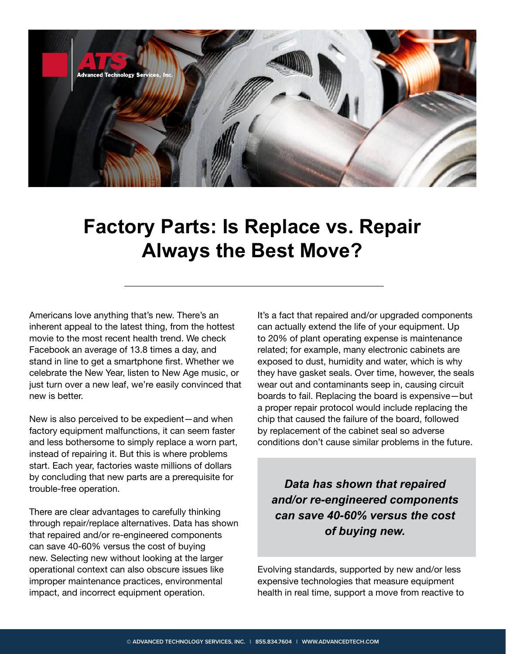

## **Factory Parts: Is Replace vs. Repair Always the Best Move?**

Americans love anything that's new. There's an inherent appeal to the latest thing, from the hottest movie to the most recent health trend. We check Facebook an average of 13.8 times a day, and stand in line to get a smartphone first. Whether we celebrate the New Year, listen to New Age music, or just turn over a new leaf, we're easily convinced that new is better.

New is also perceived to be expedient—and when factory equipment malfunctions, it can seem faster and less bothersome to simply replace a worn part, instead of repairing it. But this is where problems start. Each year, factories waste millions of dollars by concluding that new parts are a prerequisite for trouble-free operation.

There are clear advantages to carefully thinking through repair/replace alternatives. Data has shown that repaired and/or re-engineered components can save 40-60% versus the cost of buying new. Selecting new without looking at the larger operational context can also obscure issues like improper maintenance practices, environmental impact, and incorrect equipment operation.

It's a fact that repaired and/or upgraded components can actually extend the life of your equipment. Up to 20% of plant operating expense is maintenance related; for example, many electronic cabinets are exposed to dust, humidity and water, which is why they have gasket seals. Over time, however, the seals wear out and contaminants seep in, causing circuit boards to fail. Replacing the board is expensive—but a proper repair protocol would include replacing the chip that caused the failure of the board, followed by replacement of the cabinet seal so adverse conditions don't cause similar problems in the future.

*Data has shown that repaired and/or re-engineered components can save 40-60% versus the cost of buying new.*

Evolving standards, supported by new and/or less expensive technologies that measure equipment health in real time, support a move from reactive to